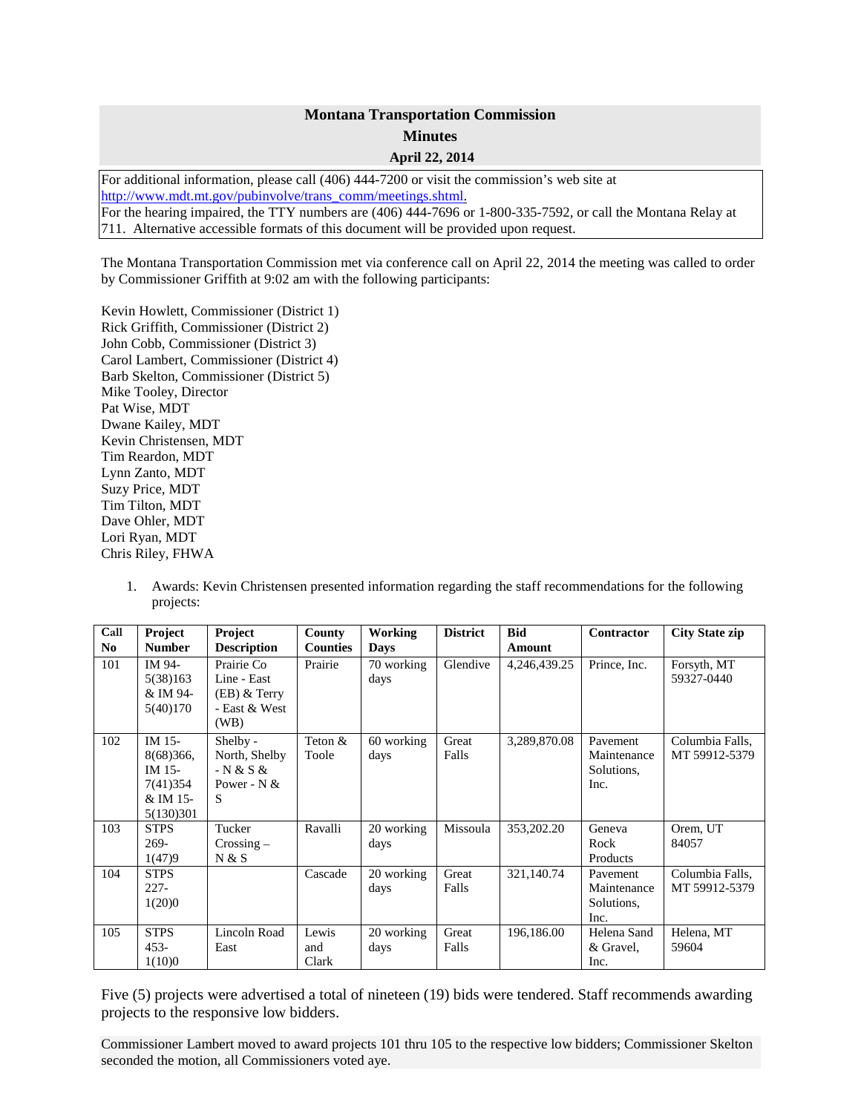## **Montana Transportation Commission Minutes April 22, 2014**

For additional information, please call (406) 444-7200 or visit the commission's web site at [http://www.mdt.mt.gov/pubinvolve/trans\\_comm/meetings.shtml.](http://www.mdt.mt.gov/pubinvolve/trans_comm/meetings.shtml) For the hearing impaired, the TTY numbers are (406) 444-7696 or 1-800-335-7592, or call the Montana Relay at 711. Alternative accessible formats of this document will be provided upon request.

The Montana Transportation Commission met via conference call on April 22, 2014 the meeting was called to order by Commissioner Griffith at 9:02 am with the following participants:

Kevin Howlett, Commissioner (District 1) Rick Griffith, Commissioner (District 2) John Cobb, Commissioner (District 3) Carol Lambert, Commissioner (District 4) Barb Skelton, Commissioner (District 5) Mike Tooley, Director Pat Wise, MDT Dwane Kailey, MDT Kevin Christensen, MDT Tim Reardon, MDT Lynn Zanto, MDT Suzy Price, MDT Tim Tilton, MDT Dave Ohler, MDT Lori Ryan, MDT Chris Riley, FHWA

1. Awards: Kevin Christensen presented information regarding the staff recommendations for the following projects:

| Call<br>N <sub>0</sub> | Project<br><b>Number</b>                                            | <b>Project</b><br><b>Description</b>                                 | <b>County</b><br><b>Counties</b> | <b>Working</b><br><b>Days</b> | <b>District</b> | <b>Bid</b><br>Amount | Contractor                                    | <b>City State zip</b>            |
|------------------------|---------------------------------------------------------------------|----------------------------------------------------------------------|----------------------------------|-------------------------------|-----------------|----------------------|-----------------------------------------------|----------------------------------|
| 101                    | IM 94-<br>5(38)163<br>& IM 94-<br>5(40)170                          | Prairie Co<br>Line - East<br>$(EB)$ & Terry<br>- East & West<br>(WB) | Prairie                          | 70 working<br>days            | Glendive        | 4,246,439.25         | Prince, Inc.                                  | Forsyth, MT<br>59327-0440        |
| 102                    | IM 15-<br>8(68)366,<br>IM 15-<br>7(41) 354<br>& IM 15-<br>5(130)301 | Shelby -<br>North, Shelby<br>$- N & S &$<br>Power - $N$ &<br>S       | Teton &<br>Toole                 | 60 working<br>days            | Great<br>Falls  | 3,289,870.08         | Pavement<br>Maintenance<br>Solutions,<br>Inc. | Columbia Falls,<br>MT 59912-5379 |
| 103                    | <b>STPS</b><br>$269-$<br>1(47)9                                     | Tucker<br>$Crossing -$<br>N & S                                      | Ravalli                          | 20 working<br>days            | Missoula        | 353,202.20           | Geneva<br>Rock<br>Products                    | Orem, UT<br>84057                |
| 104                    | <b>STPS</b><br>$227 -$<br>1(20)0                                    |                                                                      | Cascade                          | 20 working<br>days            | Great<br>Falls  | 321,140.74           | Pavement<br>Maintenance<br>Solutions,<br>Inc. | Columbia Falls,<br>MT 59912-5379 |
| 105                    | <b>STPS</b><br>$453 -$<br>1(10)0                                    | Lincoln Road<br>East                                                 | Lewis<br>and<br>Clark            | 20 working<br>days            | Great<br>Falls  | 196,186.00           | Helena Sand<br>& Gravel,<br>Inc.              | Helena, MT<br>59604              |

Five (5) projects were advertised a total of nineteen (19) bids were tendered. Staff recommends awarding projects to the responsive low bidders.

Commissioner Lambert moved to award projects 101 thru 105 to the respective low bidders; Commissioner Skelton seconded the motion, all Commissioners voted aye.